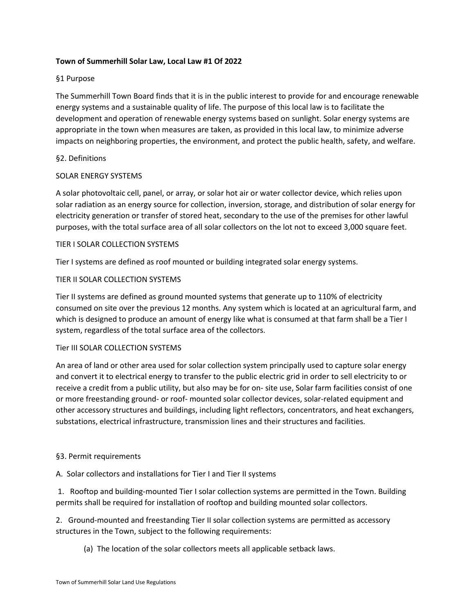## **Town of Summerhill Solar Law, Local Law #1 Of 2022**

# §1 Purpose

The Summerhill Town Board finds that it is in the public interest to provide for and encourage renewable energy systems and a sustainable quality of life. The purpose of this local law is to facilitate the development and operation of renewable energy systems based on sunlight. Solar energy systems are appropriate in the town when measures are taken, as provided in this local law, to minimize adverse impacts on neighboring properties, the environment, and protect the public health, safety, and welfare.

## §2. Definitions

## SOLAR ENERGY SYSTEMS

A solar photovoltaic cell, panel, or array, or solar hot air or water collector device, which relies upon solar radiation as an energy source for collection, inversion, storage, and distribution of solar energy for electricity generation or transfer of stored heat, secondary to the use of the premises for other lawful purposes, with the total surface area of all solar collectors on the lot not to exceed 3,000 square feet.

## TIER I SOLAR COLLECTION SYSTEMS

Tier I systems are defined as roof mounted or building integrated solar energy systems.

# TIER II SOLAR COLLECTION SYSTEMS

Tier II systems are defined as ground mounted systems that generate up to 110% of electricity consumed on site over the previous 12 months. Any system which is located at an agricultural farm, and which is designed to produce an amount of energy like what is consumed at that farm shall be a Tier I system, regardless of the total surface area of the collectors.

## Tier III SOLAR COLLECTION SYSTEMS

An area of land or other area used for solar collection system principally used to capture solar energy and convert it to electrical energy to transfer to the public electric grid in order to sell electricity to or receive a credit from a public utility, but also may be for on- site use, Solar farm facilities consist of one or more freestanding ground- or roof- mounted solar collector devices, solar-related equipment and other accessory structures and buildings, including light reflectors, concentrators, and heat exchangers, substations, electrical infrastructure, transmission lines and their structures and facilities.

## §3. Permit requirements

A. Solar collectors and installations for Tier I and Tier II systems

1. Rooftop and building-mounted Tier I solar collection systems are permitted in the Town. Building permits shall be required for installation of rooftop and building mounted solar collectors.

2. Ground-mounted and freestanding Tier II solar collection systems are permitted as accessory structures in the Town, subject to the following requirements:

(a) The location of the solar collectors meets all applicable setback laws.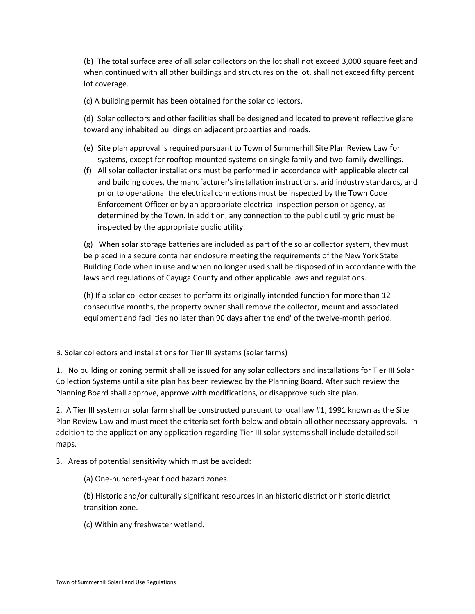(b) The total surface area of all solar collectors on the lot shall not exceed 3,000 square feet and when continued with all other buildings and structures on the lot, shall not exceed fifty percent lot coverage.

(c) A building permit has been obtained for the solar collectors.

(d) Solar collectors and other facilities shall be designed and located to prevent reflective glare toward any inhabited buildings on adjacent properties and roads.

- (e) Site plan approval is required pursuant to Town of Summerhill Site Plan Review Law for systems, except for rooftop mounted systems on single family and two-family dwellings.
- (f) All solar collector installations must be performed in accordance with applicable electrical and building codes, the manufacturer's installation instructions, arid industry standards, and prior to operational the electrical connections must be inspected by the Town Code Enforcement Officer or by an appropriate electrical inspection person or agency, as determined by the Town. In addition, any connection to the public utility grid must be inspected by the appropriate public utility.

(g) When solar storage batteries are included as part of the solar collector system, they must be placed in a secure container enclosure meeting the requirements of the New York State Building Code when in use and when no longer used shall be disposed of in accordance with the laws and regulations of Cayuga County and other applicable laws and regulations.

(h) If a solar collector ceases to perform its originally intended function for more than 12 consecutive months, the property owner shall remove the collector, mount and associated equipment and facilities no later than 90 days after the end' of the twelve-month period.

B. Solar collectors and installations for Tier III systems (solar farms)

1. No building or zoning permit shall be issued for any solar collectors and installations for Tier III Solar Collection Systems until a site plan has been reviewed by the Planning Board. After such review the Planning Board shall approve, approve with modifications, or disapprove such site plan.

2. A Tier III system or solar farm shall be constructed pursuant to local law #1, 1991 known as the Site Plan Review Law and must meet the criteria set forth below and obtain all other necessary approvals. In addition to the application any application regarding Tier III solar systems shall include detailed soil maps.

3. Areas of potential sensitivity which must be avoided:

(a) One-hundred-year flood hazard zones.

(b) Historic and/or culturally significant resources in an historic district or historic district transition zone.

(c) Within any freshwater wetland.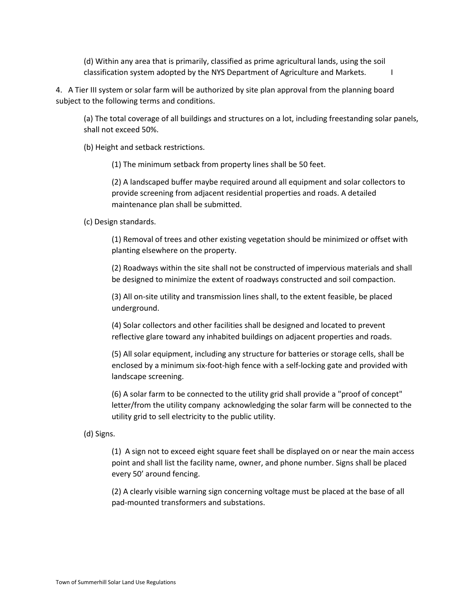(d) Within any area that is primarily, classified as prime agricultural lands, using the soil classification system adopted by the NYS Department of Agriculture and Markets. I

4. A Tier III system or solar farm will be authorized by site plan approval from the planning board subject to the following terms and conditions.

(a) The total coverage of all buildings and structures on a lot, including freestanding solar panels, shall not exceed 50%.

(b) Height and setback restrictions.

(1) The minimum setback from property lines shall be 50 feet.

(2) A landscaped buffer maybe required around all equipment and solar collectors to provide screening from adjacent residential properties and roads. A detailed maintenance plan shall be submitted.

(c) Design standards.

(1) Removal of trees and other existing vegetation should be minimized or offset with planting elsewhere on the property.

(2) Roadways within the site shall not be constructed of impervious materials and shall be designed to minimize the extent of roadways constructed and soil compaction.

(3) All on-site utility and transmission lines shall, to the extent feasible, be placed underground.

(4) Solar collectors and other facilities shall be designed and located to prevent reflective glare toward any inhabited buildings on adjacent properties and roads.

(5) All solar equipment, including any structure for batteries or storage cells, shall be enclosed by a minimum six-foot-high fence with a self-locking gate and provided with landscape screening.

(6) A solar farm to be connected to the utility grid shall provide a "proof of concept" letter/from the utility company acknowledging the solar farm will be connected to the utility grid to sell electricity to the public utility.

(d) Signs.

(1) A sign not to exceed eight square feet shall be displayed on or near the main access point and shall list the facility name, owner, and phone number. Signs shall be placed every 50' around fencing.

(2) A clearly visible warning sign concerning voltage must be placed at the base of all pad-mounted transformers and substations.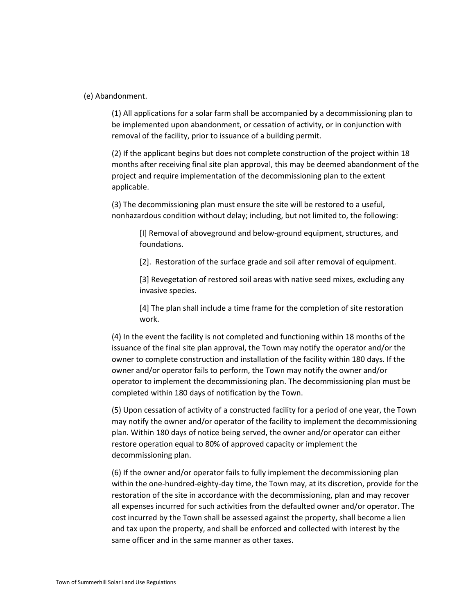#### (e) Abandonment.

(1) All applications for a solar farm shall be accompanied by a decommissioning plan to be implemented upon abandonment, or cessation of activity, or in conjunction with removal of the facility, prior to issuance of a building permit.

(2) If the applicant begins but does not complete construction of the project within 18 months after receiving final site plan approval, this may be deemed abandonment of the project and require implementation of the decommissioning plan to the extent applicable.

(3) The decommissioning plan must ensure the site will be restored to a useful, nonhazardous condition without delay; including, but not limited to, the following:

[I] Removal of aboveground and below-ground equipment, structures, and foundations.

[2]. Restoration of the surface grade and soil after removal of equipment.

[3] Revegetation of restored soil areas with native seed mixes, excluding any invasive species.

[4] The plan shall include a time frame for the completion of site restoration work.

(4) In the event the facility is not completed and functioning within 18 months of the issuance of the final site plan approval, the Town may notify the operator and/or the owner to complete construction and installation of the facility within 180 days. If the owner and/or operator fails to perform, the Town may notify the owner and/or operator to implement the decommissioning plan. The decommissioning plan must be completed within 180 days of notification by the Town.

(5) Upon cessation of activity of a constructed facility for a period of one year, the Town may notify the owner and/or operator of the facility to implement the decommissioning plan. Within 180 days of notice being served, the owner and/or operator can either restore operation equal to 80% of approved capacity or implement the decommissioning plan.

(6) If the owner and/or operator fails to fully implement the decommissioning plan within the one-hundred-eighty-day time, the Town may, at its discretion, provide for the restoration of the site in accordance with the decommissioning, plan and may recover all expenses incurred for such activities from the defaulted owner and/or operator. The cost incurred by the Town shall be assessed against the property, shall become a lien and tax upon the property, and shall be enforced and collected with interest by the same officer and in the same manner as other taxes.